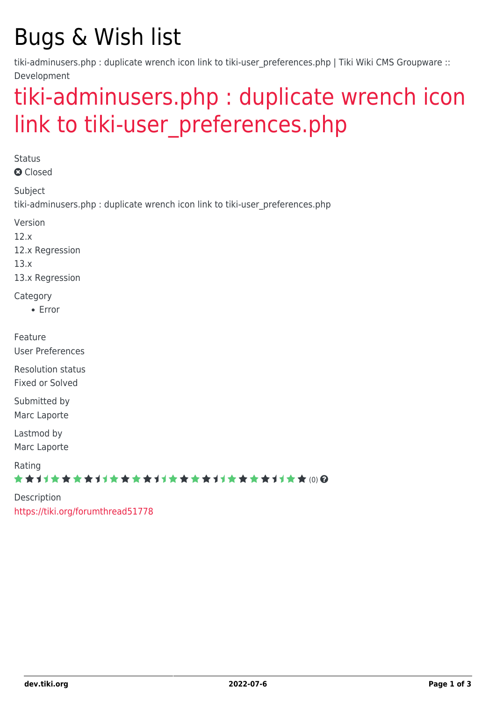# Bugs & Wish list

tiki-adminusers.php : duplicate wrench icon link to tiki-user preferences.php | Tiki Wiki CMS Groupware :: Development

# [tiki-adminusers.php : duplicate wrench icon](https://dev.tiki.org/item5366-tiki-adminusers-php-duplicate-wrench-icon-link-to-tiki-user_preferences-php) link to tiki-user preferences.php

**Status Q** Closed Subject tiki-adminusers.php : duplicate wrench icon link to tiki-user\_preferences.php Version 12.x 12.x Regression 13.x 13.x Regression **Category** Error Feature User Preferences Resolution status Fixed or Solved Submitted by Marc Laporte Lastmod by Marc Laporte Rating \*\*\*\*\*\*\*\*\*\*\*\*\*\*\*\*\*\*\*\*\*\*\*\*\*\*\*\*\*\* Description <https://tiki.org/forumthread51778>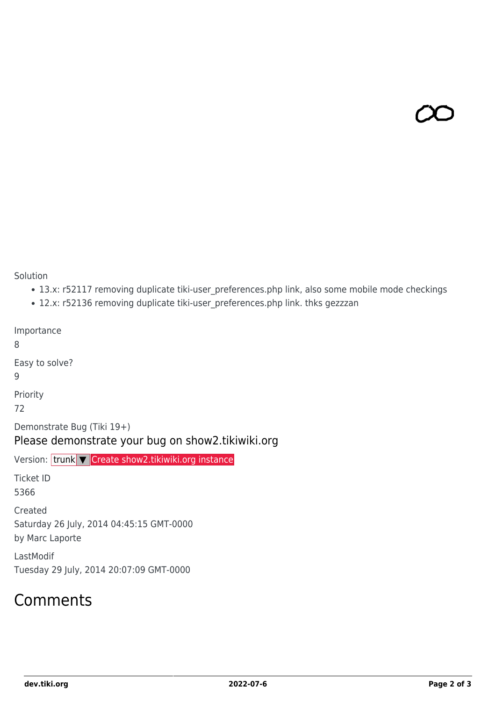Solution

- 13.x: r52117 removing duplicate tiki-user\_preferences.php link, also some mobile mode checkings
- 12.x: r52136 removing duplicate tiki-user\_preferences.php link. thks gezzzan

Importance

8

Easy to solve?

9

Priority

72

Demonstrate Bug (Tiki 19+)

### Please demonstrate your bug on show2.tikiwiki.org

Version: trunk ▼ [Create show2.tikiwiki.org instance](#page--1-0)

Ticket ID 5366

Created

Saturday 26 July, 2014 04:45:15 GMT-0000

by Marc Laporte

LastModif Tuesday 29 July, 2014 20:07:09 GMT-0000

### Comments